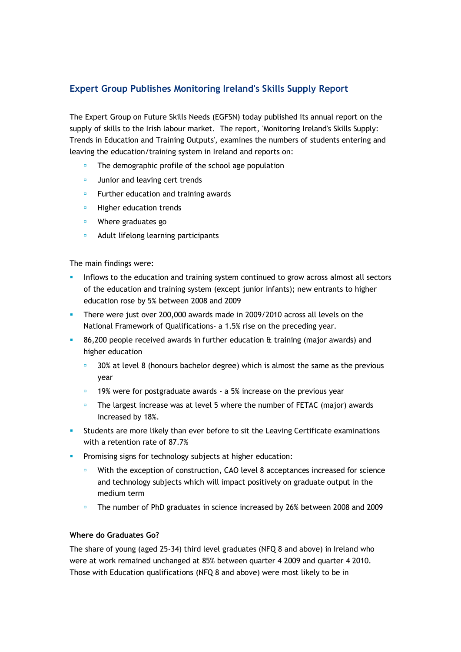## **Expert Group Publishes Monitoring Ireland's Skills Supply Report**

The Expert Group on Future Skills Needs (EGFSN) today published its annual report on the supply of skills to the Irish labour market. The report, 'Monitoring Ireland's Skills Supply: Trends in Education and Training Outputs', examines the numbers of students entering and leaving the education/training system in Ireland and reports on:

- The demographic profile of the school age population
- **Junior and leaving cert trends**
- **EXEC** Further education and training awards
- **Higher education trends**
- Where graduates go
- **Adult lifelong learning participants**

The main findings were:

- Inflows to the education and training system continued to grow across almost all sectors of the education and training system (except junior infants); new entrants to higher education rose by 5% between 2008 and 2009
- There were just over 200,000 awards made in 2009/2010 across all levels on the National Framework of Qualifications- a 1.5% rise on the preceding year.
- 86,200 people received awards in further education & training (major awards) and higher education
	- **30% at level 8 (honours bachelor degree) which is almost the same as the previous** year
	- 19% were for postgraduate awards a 5% increase on the previous year
	- $\blacksquare$  The largest increase was at level 5 where the number of FETAC (major) awards increased by 18%.
- Students are more likely than ever before to sit the Leaving Certificate examinations with a retention rate of 87.7%
- **Promising signs for technology subjects at higher education:** 
	- With the exception of construction, CAO level 8 acceptances increased for science and technology subjects which will impact positively on graduate output in the medium term
	- The number of PhD graduates in science increased by 26% between 2008 and 2009

## **Where do Graduates Go?**

The share of young (aged 25-34) third level graduates (NFQ 8 and above) in Ireland who were at work remained unchanged at 85% between quarter 4 2009 and quarter 4 2010. Those with Education qualifications (NFQ 8 and above) were most likely to be in